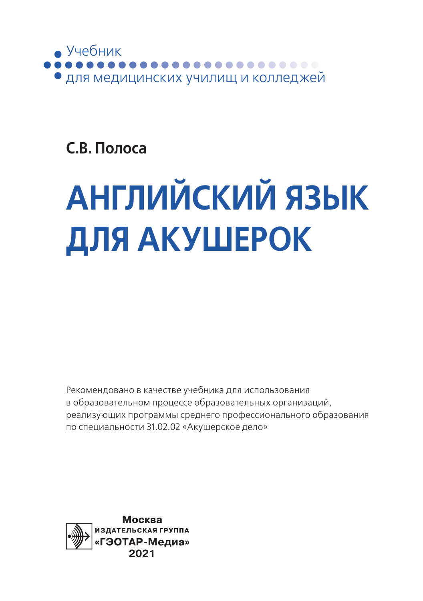

### **С.В. Полоса**

# **АНГЛИЙСКИЙ ЯЗЫК ДЛЯ АКУШЕРОК**

Рекомендовано в качестве учебника для использования в образовательном процессе образовательных организаций, реализующих программы среднего профессионального образования по специальности 31.02.02 «Акушерское дело»

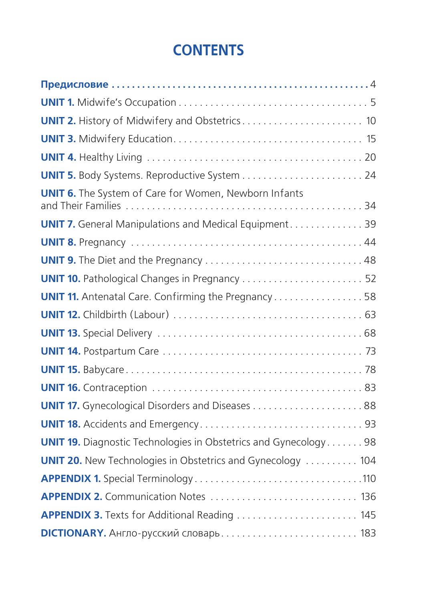### **CONTENTS**

| <b>UNIT 2.</b> History of Midwifery and Obstetrics 10                  |  |
|------------------------------------------------------------------------|--|
|                                                                        |  |
|                                                                        |  |
|                                                                        |  |
| <b>UNIT 6.</b> The System of Care for Women, Newborn Infants           |  |
| <b>UNIT 7.</b> General Manipulations and Medical Equipment 39          |  |
|                                                                        |  |
|                                                                        |  |
|                                                                        |  |
| <b>UNIT 11.</b> Antenatal Care. Confirming the Pregnancy 58            |  |
|                                                                        |  |
|                                                                        |  |
|                                                                        |  |
|                                                                        |  |
|                                                                        |  |
|                                                                        |  |
|                                                                        |  |
| <b>UNIT 19.</b> Diagnostic Technologies in Obstetrics and Gynecology98 |  |
| <b>UNIT 20.</b> New Technologies in Obstetrics and Gynecology  104     |  |
|                                                                        |  |
| APPENDIX 2. Communication Notes  136                                   |  |
|                                                                        |  |
| <b>DICTIONARY.</b> Англо-русский словарь 183                           |  |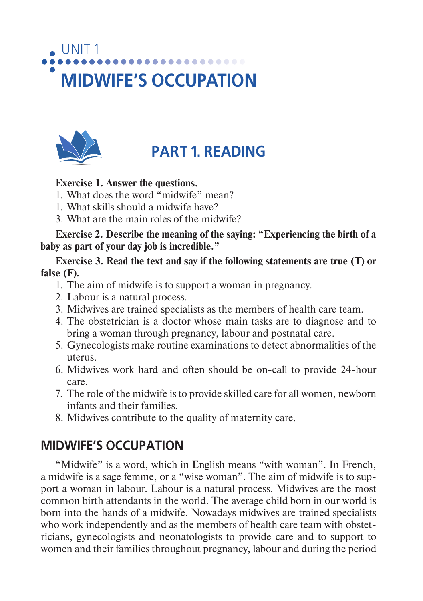# UNIT<sub>1</sub> **MIDWIFE'S OCCUPATION**



### **PART 1. READING**

#### **Exercise 1. Answer the questions.**

- 1. What does the word "midwife" mean?
- 1. What skills should a midwife have?
- 3. What are the main roles of the midwife?

**Exercise 2. Describe the meaning of the saying: "Experiencing the birth of a baby as part of your day job is incredible."**

#### **Exercise 3. Read the text and say if the following statements are true (T) or false (F).**

- 1. The aim of midwife is to support a woman in pregnancy.
- 2. Labour is a natural process.
- 3. Midwives are trained specialists as the members of health care team.
- 4. The obstetrician is a doctor whose main tasks are to diagnose and to bring a woman through pregnancy, labour and postnatal care.
- 5. Gynecologists make routine examinations to detect abnormalities of the uterus.
- 6. Midwives work hard and often should be on-call to provide 24-hour care.
- 7. The role of the midwife is to provide skilled care for all women, newborn infants and their families.
- 8. Midwives contribute to the quality of maternity care.

### **MIDWIFE'S OCCUPATION**

"Midwife" is a word, which in English means "with woman". In French, a midwife is a sage femme, or a "wise woman". The aim of midwife is to support a woman in labour. Labour is a natural process. Midwives are the most common birth attendants in the world. The average child born in our world is born into the hands of a midwife. Nowadays midwives are trained specialists who work independently and as the members of health care team with obstetricians, gynecologists and neonatologists to provide care and to support to women and their families throughout pregnancy, labour and during the period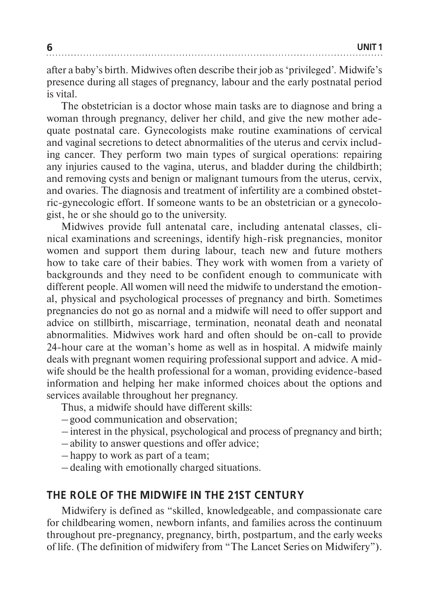after a baby's birth. Midwives often describe their job as 'privileged'. Midwife's presence during all stages of pregnancy, labour and the early postnatal period is vital.

The obstetrician is a doctor whose main tasks are to diagnose and bring a woman through pregnancy, deliver her child, and give the new mother adequate postnatal care. Gynecologists make routine examinations of cervical and vaginal secretions to detect abnormalities of the uterus and cervix including cancer. They perform two main types of surgical operations: repairing any injuries caused to the vagina, uterus, and bladder during the childbirth; and removing cysts and benign or malignant tumours from the uterus, cervix, and ovaries. The diagnosis and treatment of infertility are a combined obstetric-gynecologic effort. If someone wants to be an obstetrician or a gynecologist, he or she should go to the university.

Midwives provide full antenatal care, including antenatal classes, clinical examinations and screenings, identify high-risk pregnancies, monitor women and support them during labour, teach new and future mothers how to take care of their babies. They work with women from a variety of backgrounds and they need to be confident enough to communicate with different people. All women will need the midwife to understand the emotional, physical and psychological processes of pregnancy and birth. Sometimes pregnancies do not go as nornal and a midwife will need to offer support and advice on stillbirth, miscarriage, termination, neonatal death and neonatal abnormalities. Midwives work hard and often should be on-call to provide 24-hour care at the woman's home as well as in hospital. A midwife mainly deals with pregnant women requiring professional support and advice. A midwife should be the health professional for a woman, providing evidence-based information and helping her make informed choices about the options and services available throughout her pregnancy.

Thus, a midwife should have different skills:

- good communication and observation;
- interest in the physical, psychological and process of pregnancy and birth;
- ability to answer questions and offer advice;
- happy to work as part of a team;
- dealing with emotionally charged situations.

#### **THE ROLE OF THE MIDWIFE IN THE 21ST CENTURY**

Midwifery is defined as "skilled, knowledgeable, and compassionate care for childbearing women, newborn infants, and families across the continuum throughout pre-pregnancy, pregnancy, birth, postpartum, and the early weeks of life. (The definition of midwifery from "The Lancet Series on Midwifery").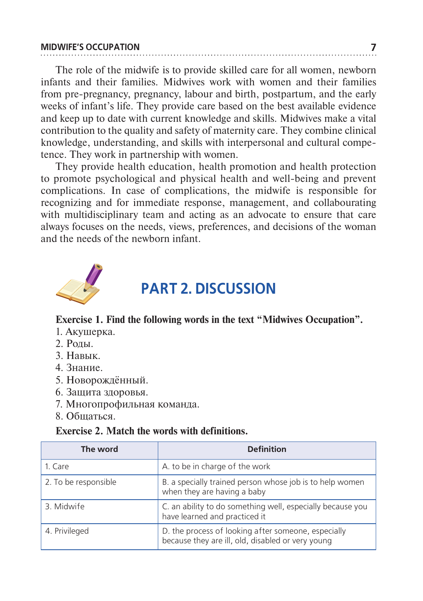#### **MIDWIFE'S OCCUPATION 7**

The role of the midwife is to provide skilled care for all women, newborn infants and their families. Midwives work with women and their families from pre-pregnancy, pregnancy, labour and birth, postpartum, and the early weeks of infant's life. They provide care based on the best available evidence and keep up to date with current knowledge and skills. Midwives make a vital contribution to the quality and safety of maternity care. They combine clinical knowledge, understanding, and skills with interpersonal and cultural competence. They work in partnership with women.

They provide health education, health promotion and health protection to promote psychological and physical health and well-being and prevent complications. In case of complications, the midwife is responsible for recognizing and for immediate response, management, and collabourating with multidisciplinary team and acting as an advocate to ensure that care always focuses on the needs, views, preferences, and decisions of the woman and the needs of the newborn infant.



### **PART 2. DISCUSSION**

#### **Exercise 1. Find the following words in the text "Midwives Occupation".**

- 1. Акушерка.
- 2. Роды.
- 3. Навык.
- 4. Знание.
- 5. Новорождённый.
- 6. Защита здоровья.
- 7. Многопрофильная команда.
- 8. Общаться.

#### **Exercise 2. Match the words with definitions.**

| The word             | <b>Definition</b>                                                                                        |
|----------------------|----------------------------------------------------------------------------------------------------------|
| 1. Care              | A. to be in charge of the work                                                                           |
| 2. To be responsible | B. a specially trained person whose job is to help women<br>when they are having a baby                  |
| 3. Midwife           | C. an ability to do something well, especially because you<br>have learned and practiced it              |
| 4. Privileged        | D. the process of looking after someone, especially<br>because they are ill, old, disabled or very young |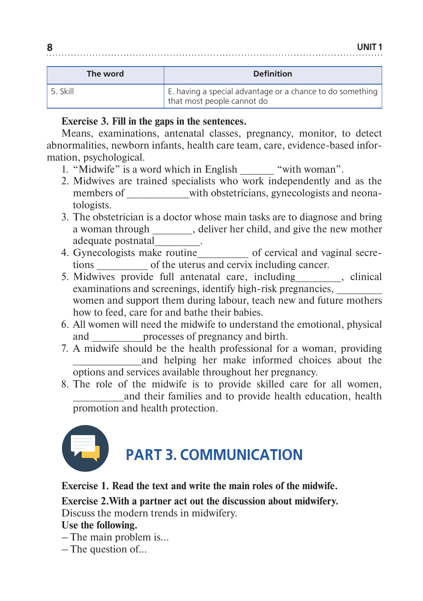| The word | <b>Definition</b>                                                                       |
|----------|-----------------------------------------------------------------------------------------|
| 5. Skill | E. having a special advantage or a chance to do something<br>that most people cannot do |

#### **Exercise 3. Fill in the gaps in the sentences.**

Means, examinations, antenatal classes, pregnancy, monitor, to detect abnormalities, newborn infants, health care team, care, evidence-based information, psychological.

- 1. "Midwife" is a word which in English "with woman".
- 2. Midwives are trained specialists who work independently and as the members of with obstetricians, gynecologists and neonatologists.
- 3. The obstetrician is a doctor whose main tasks are to diagnose and bring a woman through \_\_\_\_\_\_\_, deliver her child, and give the new mother adequate postnatal\_\_\_\_\_\_\_\_.
- 4. Gynecologists make routine\_\_\_\_\_\_\_\_\_ of cervical and vaginal secretions \_\_\_\_\_\_\_\_\_ of the uterus and cervix including cancer.
- 5. Midwives provide full antenatal care, including\_\_\_\_\_\_\_\_, clinical examinations and screenings, identify high-risk pregnancies, women and support them during labour, teach new and future mothers how to feed, care for and bathe their babies.
- 6. All women will need the midwife to understand the emotional, physical and \_\_\_\_\_\_\_\_\_processes of pregnancy and birth.
- 7. A midwife should be the health professional for a woman, providing and helping her make informed choices about the options and services available throughout her pregnancy.
- 8. The role of the midwife is to provide skilled care for all women, \_\_\_\_\_\_\_\_\_and their families and to provide health education, health promotion and health protection.



**Exercise 1. Read the text and write the main roles of the midwife.**

**Exercise 2.With a partner act out the discussion about midwifery.**

Discuss the modern trends in midwifery.

**Use the following.**

– The main problem is…

– The question of…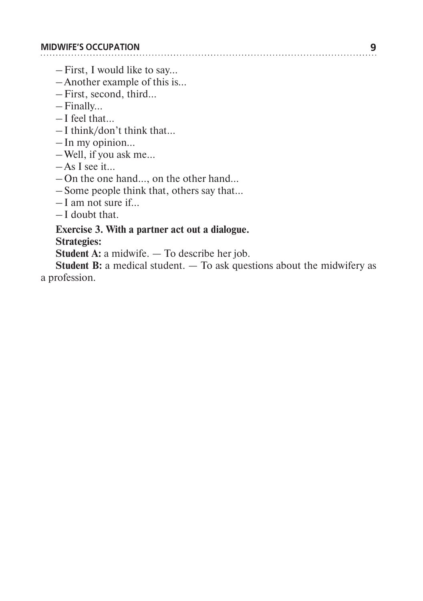- First, I would like to say…
- Another example of this is…
- First, second, third…
- Finally…
- I feel that…
- I think/don't think that…
- In my opinion…
- Well, if you ask me…
- As I see it…
- On the one hand…, on the other hand…
- Some people think that, others say that…
- I am not sure if…
- I doubt that.

### **Exercise 3. With a partner act out a dialogue.**

**Strategies:**

**Student A:** a midwife. — To describe her job.

**Student B:** a medical student. — To ask questions about the midwifery as a profession.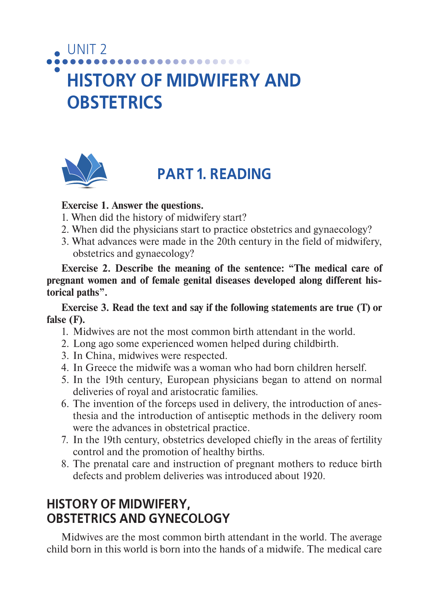### ............. **HISTORY OF MIDWIFERY AND OBSTETRICS**



UNIT 2

### **PART 1. READING**

#### **Exercise 1. Answer the questions.**

- 1. When did the history of midwifery start?
- 2. When did the physicians start to practice obstetrics and gynaecology?
- 3. What advances were made in the 20th century in the field of midwifery, obstetrics and gynaecology?

**Exercise 2. Describe the meaning of the sentence: "The medical care of pregnant women and of female genital diseases developed along different historical paths".**

**Exercise 3. Read the text and say if the following statements are true (T) or false (F).**

- 1. Midwives are not the most common birth attendant in the world.
- 2. Long ago some experienced women helped during childbirth.
- 3. In China, midwives were respected.
- 4. In Greece the midwife was a woman who had born children herself.
- 5. In the 19th century, European physicians began to attend on normal deliveries of royal and aristocratic families.
- 6. The invention of the forceps used in delivery, the introduction of anesthesia and the introduction of antiseptic methods in the delivery room were the advances in obstetrical practice.
- 7. In the 19th century, obstetrics developed chiefly in the areas of fertility control and the promotion of healthy births.
- 8. The prenatal care and instruction of pregnant mothers to reduce birth defects and problem deliveries was introduced about 1920.

### **HISTORY OF MIDWIFERY, OBSTETRICS AND GYNECOLOGY**

Midwives are the most common birth attendant in the world. The average child born in this world is born into the hands of a midwife. The medical care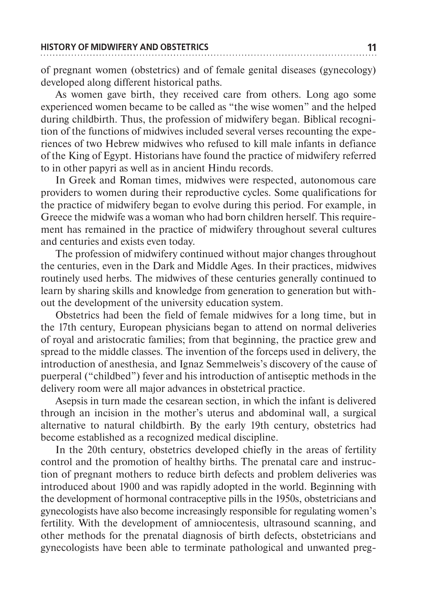of pregnant women (obstetrics) and of female genital diseases (gynecology) developed along different historical paths.

As women gave birth, they received care from others. Long ago some experienced women became to be called as "the wise women" and the helped during childbirth. Thus, the profession of midwifery began. Biblical recognition of the functions of midwives included several verses recounting the experiences of two Hebrew midwives who refused to kill male infants in defiance of the King of Egypt. Historians have found the practice of midwifery referred to in other papyri as well as in ancient Hindu records.

In Greek and Roman times, midwives were respected, autonomous care providers to women during their reproductive cycles. Some qualifications for the practice of midwifery began to evolve during this period. For example, in Greece the midwife was a woman who had born children herself. This requirement has remained in the practice of midwifery throughout several cultures and centuries and exists even today.

The profession of midwifery continued without major changes throughout the centuries, even in the Dark and Middle Ages. In their practices, midwives routinely used herbs. The midwives of these centuries generally continued to learn by sharing skills and knowledge from generation to generation but without the development of the university education system.

Obstetrics had been the field of female midwives for a long time, but in the 17th century, European physicians began to attend on normal deliveries of royal and aristocratic families; from that beginning, the practice grew and spread to the middle classes. The invention of the forceps used in delivery, the introduction of anesthesia, and Ignaz Semmelweis's discovery of the cause of puerperal ("childbed") fever and his introduction of antiseptic methods in the delivery room were all major advances in obstetrical practice.

Asepsis in turn made the cesarean section, in which the infant is delivered through an incision in the mother's uterus and abdominal wall, a surgical alternative to natural childbirth. By the early 19th century, obstetrics had become established as a recognized medical discipline.

In the 20th century, obstetrics developed chiefly in the areas of fertility control and the promotion of healthy births. The prenatal care and instruction of pregnant mothers to reduce birth defects and problem deliveries was introduced about 1900 and was rapidly adopted in the world. Beginning with the development of hormonal contraceptive pills in the 1950s, obstetricians and gynecologists have also become increasingly responsible for regulating women's fertility. With the development of amniocentesis, ultrasound scanning, and other methods for the prenatal diagnosis of birth defects, obstetricians and gynecologists have been able to terminate pathological and unwanted preg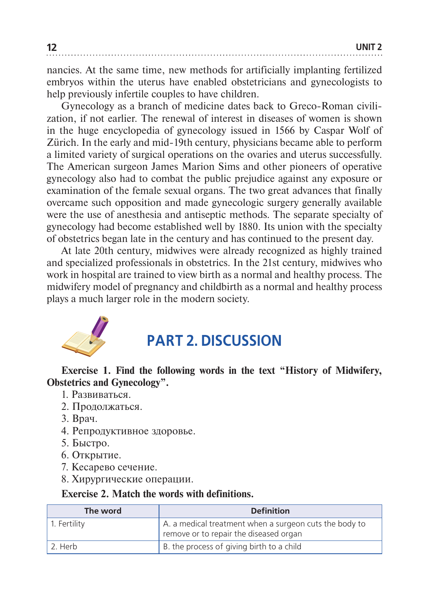nancies. At the same time, new methods for artificially implanting fertilized embryos within the uterus have enabled obstetricians and gynecologists to help previously infertile couples to have children.

Gynecology as a branch of medicine dates back to Greco-Roman civilization, if not earlier. The renewal of interest in diseases of women is shown in the huge encyclopedia of gynecology issued in 1566 by Caspar Wolf of Zürich. In the early and mid-19th century, physicians became able to perform a limited variety of surgical operations on the ovaries and uterus successfully. The American surgeon James Marion Sims and other pioneers of operative gynecology also had to combat the public prejudice against any exposure or examination of the female sexual organs. The two great advances that finally overcame such opposition and made gynecologic surgery generally available were the use of anesthesia and antiseptic methods. The separate specialty of gynecology had become established well by 1880. Its union with the specialty of obstetrics began late in the century and has continued to the present day.

At late 20th century, midwives were already recognized as highly trained and specialized professionals in obstetrics. In the 21st century, midwives who work in hospital are trained to view birth as a normal and healthy process. The midwifery model of pregnancy and childbirth as a normal and healthy process plays a much larger role in the modern society.



### **PART 2. DISCUSSION**

#### **Exercise 1. Find the following words in the text "History of Midwifery, Obstetrics and Gynecology".**

- 1. Развиваться.
- 2. Продолжаться.
- 3. Врач.
- 4. Репродуктивное здоровье.
- 5. Быстро.
- 6. Открытие.
- 7. Кесарево сечение.
- 8. Хирургические операции.

#### **Exercise 2. Match the words with definitions.**

| The word     | <b>Definition</b>                                                                                |
|--------------|--------------------------------------------------------------------------------------------------|
| 1. Fertility | A. a medical treatment when a surgeon cuts the body to<br>remove or to repair the diseased organ |
| 2. Herb      | B. the process of giving birth to a child                                                        |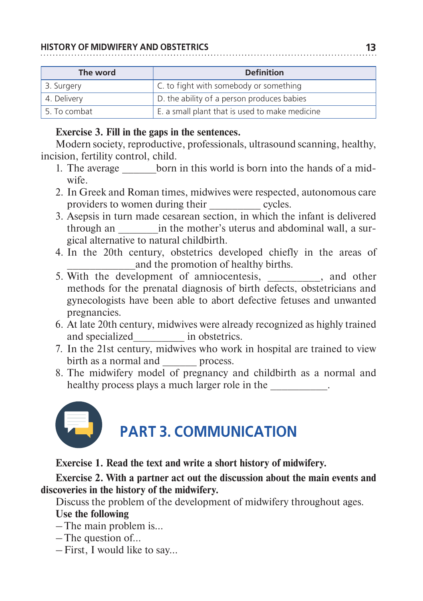#### **HISTORY OF MIDWIFERY AND OBSTETRICS 13**

| The word     | <b>Definition</b>                              |
|--------------|------------------------------------------------|
| 3. Surgery   | C. to fight with somebody or something         |
| 4. Delivery  | D. the ability of a person produces babies     |
| 5. To combat | E. a small plant that is used to make medicine |

#### **Exercise 3. Fill in the gaps in the sentences.**

Modern society, reproductive, professionals, ultrasound scanning, healthy, incision, fertility control, child.

- 1. The average born in this world is born into the hands of a midwife.
- 2. In Greek and Roman times, midwives were respected, autonomous care providers to women during their \_\_\_\_\_\_\_\_\_ cycles.
- 3. Asepsis in turn made cesarean section, in which the infant is delivered through an  $\qquad$  in the mother's uterus and abdominal wall, a surgical alternative to natural childbirth.
- 4. In the 20th century, obstetrics developed chiefly in the areas of and the promotion of healthy births.
- 5. With the development of amniocentesis, and other methods for the prenatal diagnosis of birth defects, obstetricians and gynecologists have been able to abort defective fetuses and unwanted pregnancies.
- 6. At late 20th century, midwives were already recognized as highly trained and specialized in obstetrics.
- 7. In the 21st century, midwives who work in hospital are trained to view birth as a normal and process.
- 8. The midwifery model of pregnancy and childbirth as a normal and healthy process plays a much larger role in the



## **PART 3. COMMUNICATION**

**Exercise 1. Read the text and write a short history of midwifery.**

#### **Exercise 2. With a partner act out the discussion about the main events and discoveries in the history of the midwifery.**

Discuss the problem of the development of midwifery throughout ages.

#### **Use the following**

– The main problem is…

– The question of…

– First, I would like to say…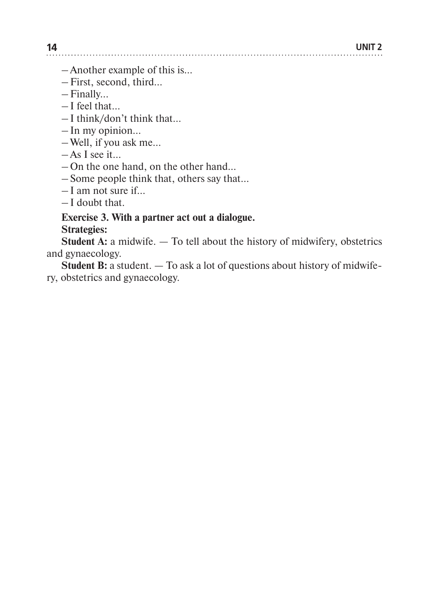– Another example of this is...

- First, second, third…
- Finally...
- I feel that…
- I think/don't think that…
- In my opinion…
- Well, if you ask me…
- As I see it…
- On the one hand, on the other hand…
- Some people think that, others say that…
- I am not sure if…
- I doubt that.

#### **Exercise 3. With a partner act out a dialogue. Strategies:**

**Student A:** a midwife. — To tell about the history of midwifery, obstetrics and gynaecology.

**Student B:** a student. — To ask a lot of questions about history of midwifery, obstetrics and gynaecology.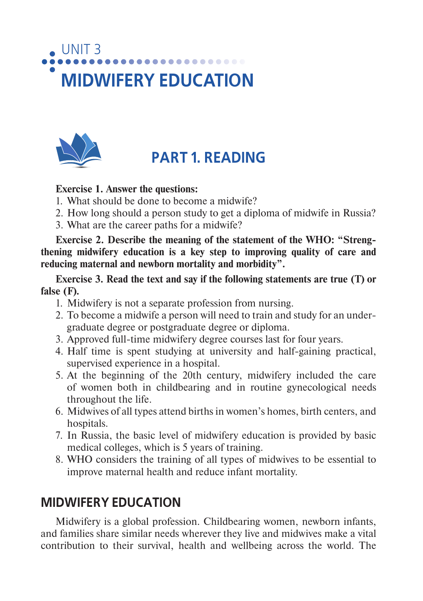# UNIT 3 **MIDWIFERY EDUCATION**



### **PART 1. READING**

#### **Exercise 1. Answer the questions:**

- 1. What should be done to become a midwife?
- 2. How long should a person study to get a diploma of midwife in Russia?
- 3. What are the career paths for a midwife?

**Exercise 2. Describe the meaning of the statement of the WHO: "Strengthening midwifery education is a key step to improving quality of care and reducing maternal and newborn mortality and morbidity".**

**Exercise 3. Read the text and say if the following statements are true (T) or false (F).**

- 1. Midwifery is not a separate profession from nursing.
- 2. To become a midwife a person will need to train and study for an undergraduate degree or postgraduate degree or diploma.
- 3. Approved full-time midwifery degree courses last for four years.
- 4. Half time is spent studying at university and half-gaining practical, supervised experience in a hospital.
- 5. At the beginning of the 20th century, midwifery included the care of women both in childbearing and in routine gynecological needs throughout the life.
- 6. Midwives of all types attend births in women's homes, birth centers, and hospitals.
- 7. In Russia, the basic level of midwifery education is provided by basic medical colleges, which is 5 years of training.
- 8. WHO considers the training of all types of midwives to be essential to improve maternal health and reduce infant mortality.

### **MIDWIFERY EDUCATION**

Midwifery is a global profession. Childbearing women, newborn infants, and families share similar needs wherever they live and midwives make a vital contribution to their survival, health and wellbeing across the world. The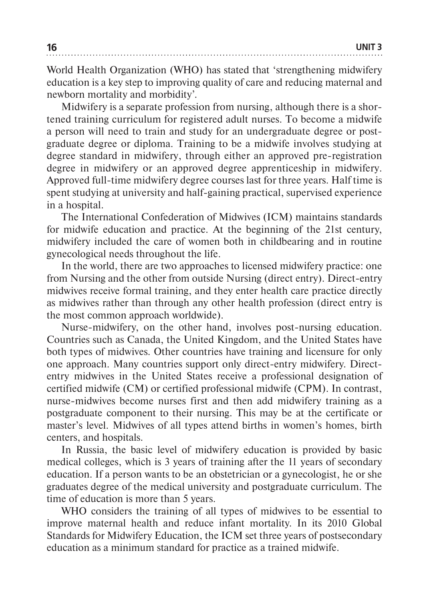World Health Organization (WHO) has stated that 'strengthening midwifery education is a key step to improving quality of care and reducing maternal and newborn mortality and morbidity'.

Midwifery is a separate profession from nursing, although there is a shortened training curriculum for registered adult nurses. To become a midwife a person will need to train and study for an undergraduate degree or postgraduate degree or diploma. Training to be a midwife involves studying at degree standard in midwifery, through either an approved pre-registration degree in midwifery or an approved degree apprenticeship in midwifery. Approved full-time midwifery degree courses last for three years. Half time is spent studying at university and half-gaining practical, supervised experience in a hospital.

The International Confederation of Midwives (ICM) maintains standards for midwife education and practice. At the beginning of the 21st century, midwifery included the care of women both in childbearing and in routine gynecological needs throughout the life.

In the world, there are two approaches to licensed midwifery practice: one from Nursing and the other from outside Nursing (direct entry). Direct-entry midwives receive formal training, and they enter health care practice directly as midwives rather than through any other health profession (direct entry is the most common approach worldwide).

Nurse-midwifery, on the other hand, involves post-nursing education. Countries such as Canada, the United Kingdom, and the United States have both types of midwives. Other countries have training and licensure for only one approach. Many countries support only direct-entry midwifery. Directentry midwives in the United States receive a professional designation of certified midwife (CM) or certified professional midwife (CPM). In contrast, nurse-midwives become nurses first and then add midwifery training as a postgraduate component to their nursing. This may be at the certificate or master's level. Midwives of all types attend births in women's homes, birth centers, and hospitals.

In Russia, the basic level of midwifery education is provided by basic medical colleges, which is 3 years of training after the 11 years of secondary education. If a person wants to be an obstetrician or a gynecologist, he or she graduates degree of the medical university and postgraduate curriculum. The time of education is more than 5 years.

WHO considers the training of all types of midwives to be essential to improve maternal health and reduce infant mortality. In its 2010 Global Standards for Midwifery Education, the ICM set three years of postsecondary education as a minimum standard for practice as a trained midwife.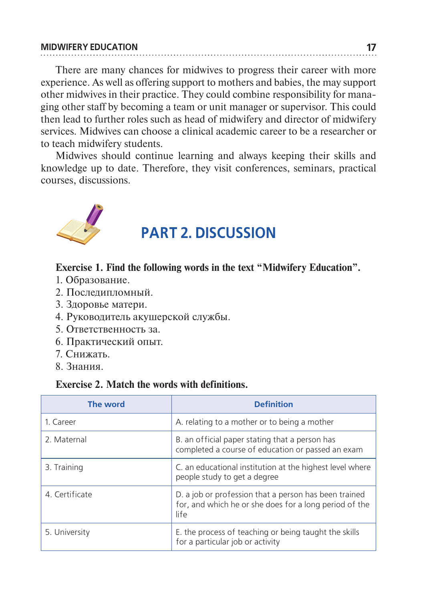#### **MIDWIFERY EDUCATION 17**

There are many chances for midwives to progress their career with more experience. As well as offering support to mothers and babies, the may support other midwives in their practice. They could combine responsibility for managing other staff by becoming a team or unit manager or supervisor. This could then lead to further roles such as head of midwifery and director of midwifery services. Midwives can choose a clinical academic career to be a researcher or to teach midwifery students.

Midwives should continue learning and always keeping their skills and knowledge up to date. Therefore, they visit conferences, seminars, practical courses, discussions.



### **PART 2. DISCUSSION**

#### **Exercise 1. Find the following words in the text "Midwifery Education".**

- 1. Образование.
- 2. Послелипломный.
- 3. Здоровье матери.
- 4. Руководитель акушерской службы.
- 5. Ответственность за.
- 6. Практический опыт.
- 7. Снижать.
- 8. Знания.

#### **Exercise 2. Match the words with definitions.**

| The word       | <b>Definition</b>                                                                                                       |
|----------------|-------------------------------------------------------------------------------------------------------------------------|
| 1. Career      | A. relating to a mother or to being a mother                                                                            |
| 2. Maternal    | B. an official paper stating that a person has<br>completed a course of education or passed an exam                     |
| 3. Training    | C. an educational institution at the highest level where<br>people study to get a degree                                |
| 4. Certificate | D. a job or profession that a person has been trained<br>for, and which he or she does for a long period of the<br>life |
| 5. University  | E. the process of teaching or being taught the skills<br>for a particular job or activity                               |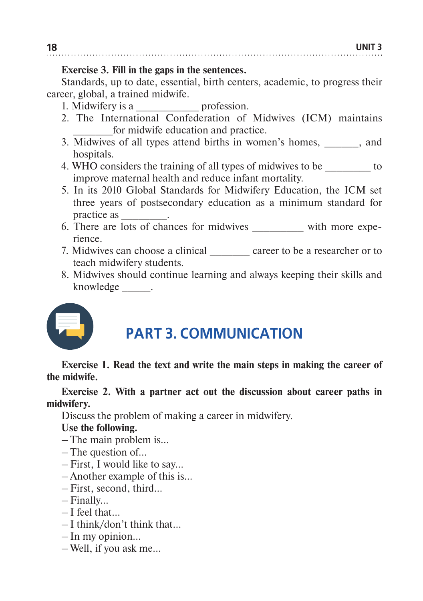#### **Exercise 3. Fill in the gaps in the sentences.**

Standards, up to date, essential, birth centers, academic, to progress their career, global, a trained midwife.

- 1. Midwifery is a **profession**.
- 2. The International Confederation of Midwives (ICM) maintains for midwife education and practice.
- 3. Midwives of all types attend births in women's homes, and hospitals.
- 4. WHO considers the training of all types of midwives to be  $\sim$ improve maternal health and reduce infant mortality.
- 5. In its 2010 Global Standards for Midwifery Education, the ICM set three years of postsecondary education as a minimum standard for practice as \_\_\_\_\_\_\_\_.
- 6. There are lots of chances for midwives with more experience.
- 7. Midwives can choose a clinical career to be a researcher or to teach midwifery students.
- 8. Midwives should continue learning and always keeping their skills and knowledge \_\_\_\_\_.



### **PART 3. COMMUNICATION**

**Exercise 1. Read the text and write the main steps in making the career of the midwife.**

**Exercise 2. With a partner act out the discussion about career paths in midwifery.**

Discuss the problem of making a career in midwifery.

**Use the following.**

– The main problem is…

- The question of…
- First, I would like to say…
- Another example of this is...
- First, second, third…
- Finally…
- I feel that…
- I think/don't think that…
- In my opinion…
- Well, if you ask me…